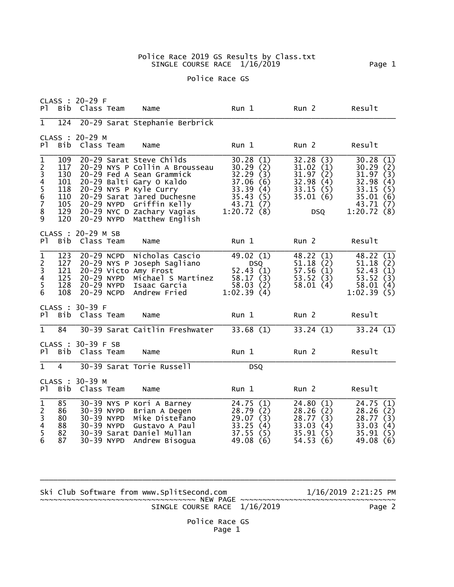## Police Race 2019 GS Results by Class.txt SINGLE COURSE RACE 1/16/2019 Page 1

## Police Race GS

| P <sub>1</sub>                                                                       | <b>Bib</b>                                                  | CLASS : 20-29 F<br>Class Team          |                                        | Name                                                                                                                                                                                                                                          | Run 1                                                                                                                   | Run <sub>2</sub>                                                                       | Result                                                                                              |
|--------------------------------------------------------------------------------------|-------------------------------------------------------------|----------------------------------------|----------------------------------------|-----------------------------------------------------------------------------------------------------------------------------------------------------------------------------------------------------------------------------------------------|-------------------------------------------------------------------------------------------------------------------------|----------------------------------------------------------------------------------------|-----------------------------------------------------------------------------------------------------|
| $\overline{1}$                                                                       | 124                                                         |                                        |                                        | 20-29 Sarat Stephanie Berbrick                                                                                                                                                                                                                |                                                                                                                         |                                                                                        |                                                                                                     |
| P <sub>1</sub>                                                                       | CLASS :<br>Bib                                              | $20 - 29$ M<br>Class Team              |                                        | Name                                                                                                                                                                                                                                          | Run 1                                                                                                                   | Run <sub>2</sub>                                                                       | Result                                                                                              |
| $\mathbf{1}$<br>234567<br>$\bf 8$<br>9                                               | 109<br>117<br>130<br>101<br>118<br>110<br>105<br>129<br>120 | 20-29 NYPD                             | 20-29 NYPD                             | 20-29 Sarat Steve Childs<br>20-29 NYS P Collin A Brousseau<br>20-29 Fed A Sean Grammick<br>20-29 Balti Gary O Kaldo<br>20-29 NYS P Kyle Curry<br>20-29 Sarat Jared Duchesne<br>Griffin Kelly<br>20-29 NYC D Zachary Vagias<br>Matthew English | 30.28<br>(1)<br>30.29<br>(2)<br>32.29<br>(3)<br>37.06<br>(6)<br>33.39<br>(4)<br>35.43<br>(5)<br>43.71 (7)<br>1:20.72(8) | 32.28(3)<br>31.02(1)<br>31.97(2)<br>32.98<br>(4)<br>33.15(5)<br>35.01(6)<br><b>DSQ</b> | 30.28(1)<br>30.29(2)<br>31.97(3)<br>32.98<br>(4)<br>33.15(5)<br>35.01(6)<br>43.71 (7)<br>1:20.72(8) |
| PT.                                                                                  | <b>Bib</b>                                                  | CLASS : 20-29 M SB<br>Class Team       |                                        | Name                                                                                                                                                                                                                                          | Run <sub>1</sub>                                                                                                        | Run <sub>2</sub>                                                                       | Result                                                                                              |
| $\frac{1}{2}$<br>$\frac{3}{4}$<br>5<br>6                                             | 123<br>127<br>121<br>125<br>128<br>108                      | 20-29 NCPD<br>20-29 NYPD<br>20-29 NCPD | 20-29 NYPD                             | Nicholas Cascio<br>20-29 NYS P Joseph Sagliano<br>20-29 Victo Amy Frost<br>Michael S Martinez<br>Isaac Garcia<br>Andrew Fried                                                                                                                 | 49.02 (1)<br>DSQ<br>52.43(1)<br>58.17(3)<br>58.03(2)<br>1:02.39(4)                                                      | 48.22 (1)<br>51.18(2)<br>57.56(1)<br>53.52(3)<br>58.01(4)                              | 48.22 (1)<br>51.18(2)<br>52.43(1)<br>53.52(3)<br>58.01(4)<br>1:02.39(5)                             |
| P <sub>1</sub>                                                                       | Bib                                                         | CLASS : 30-39 F<br>Class Team          |                                        | Name                                                                                                                                                                                                                                          | Run 1                                                                                                                   | Run <sub>2</sub>                                                                       | Result                                                                                              |
| $\overline{1}$                                                                       | 84                                                          |                                        |                                        | 30-39 Sarat Caitlin Freshwater                                                                                                                                                                                                                | 33.68(1)                                                                                                                | 33.24(1)                                                                               | 33.24(1)                                                                                            |
| PT -                                                                                 | CLASS :<br>Bib                                              | 30-39 F SB<br>Class Team               |                                        | Name                                                                                                                                                                                                                                          | Run 1                                                                                                                   | Run <sub>2</sub>                                                                       | Result                                                                                              |
| $\overline{1}$                                                                       | $\overline{4}$                                              |                                        |                                        | 30-39 Sarat Torie Russell                                                                                                                                                                                                                     | <b>DSQ</b>                                                                                                              |                                                                                        |                                                                                                     |
| P <sub>1</sub>                                                                       | Bib                                                         | CLASS : 30-39 M<br>Class Team          |                                        | Name                                                                                                                                                                                                                                          | Run 1                                                                                                                   | Run <sub>2</sub>                                                                       | Result                                                                                              |
| $\overline{1}$<br>$\begin{array}{c} 2 \\ 3 \\ 4 \\ 5 \end{array}$<br>$6\overline{6}$ | 85<br>86<br>80<br>88<br>82<br>87                            | 30-39 NYPD                             | 30-39 NYPD<br>30-39 NYPD<br>30-39 NYPD | 30-39 NYS P Kori A Barney<br>Brian A Degen<br>Mike Distefano<br>Gustavo A Paul<br>30-39 Sarat Daniel Mullan<br>Andrew Bisogua                                                                                                                 | 24.75<br>(1)<br>28.79<br>(2)<br>29.07<br>(3)<br>33.25<br>(4)<br>37.55<br>(5)<br>49.08 (6)                               | 24.80(1)<br>28.26(2)<br>28.77(3)<br>33.03<br>(4)<br>35.91(5)<br>54.53(6)               | 24.75(1)<br>28.26<br>(2)<br>28.77<br>(3)<br>33.03<br>(4)<br>35.91<br>(5)<br>49.08<br>(6)            |

Ski Club Software from www.SplitSecond.com  $1/16/2019$  2:21:25 PM ~~~~~~~~~~~~~~~~~~~~~~~~~~~~~~~~~~~ NEW PAGE ~~~~~~~~~~~~~~~~~~~~~~~~~~~~~~~~~~~ SINGLE COURSE RACE 1/16/2019 Page 2

\_\_\_\_\_\_\_\_\_\_\_\_\_\_\_\_\_\_\_\_\_\_\_\_\_\_\_\_\_\_\_\_\_\_\_\_\_\_\_\_\_\_\_\_\_\_\_\_\_\_\_\_\_\_\_\_\_\_\_\_\_\_\_\_\_\_\_\_\_\_\_\_\_\_\_\_\_\_\_\_

 Police Race GS Page 1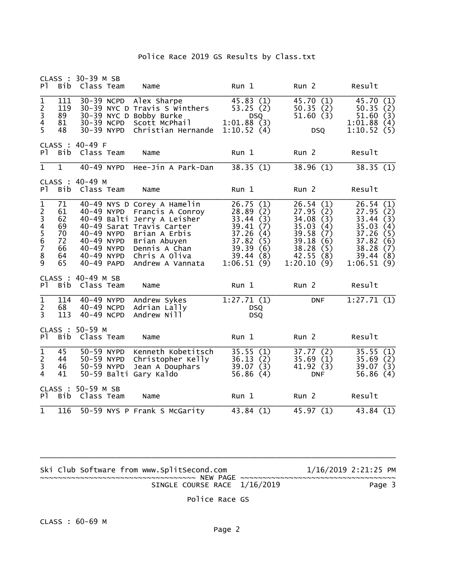| CLASS :<br>PT.                                                                 | <b>Bib</b>                                         | 30-39 M SB<br>Class Team                                                         | Name                                                                                                                                                                                               | Run 1                                                                                                                                      | Run <sub>2</sub>                                                                                                                               | Result                                                                                                                                 |
|--------------------------------------------------------------------------------|----------------------------------------------------|----------------------------------------------------------------------------------|----------------------------------------------------------------------------------------------------------------------------------------------------------------------------------------------------|--------------------------------------------------------------------------------------------------------------------------------------------|------------------------------------------------------------------------------------------------------------------------------------------------|----------------------------------------------------------------------------------------------------------------------------------------|
| $\overline{1}$<br>$\begin{array}{c} 2 \\ 3 \\ 4 \end{array}$<br>$\overline{5}$ | 111<br>119<br>89<br>81<br>48                       | 30-39 NCPD<br>30-39 NCPD<br>30-39 NYPD                                           | Alex Sharpe<br>30-39 NYC D Travis S Winthers<br>30-39 NYC D Bobby Burke<br>Scott McPhail<br>Christian Hernande                                                                                     | 45.83(1)<br>53.25(2)<br><b>DSQ</b><br>1:01.88(3)<br>1:10.52(4)                                                                             | 45.70(1)<br>50.35(2)<br>51.60(3)<br><b>DSQ</b>                                                                                                 | 45.70 (1)<br>50.35(2)<br>(3)<br>51.60<br>1:01.88<br>(4)<br>1:10.52(5)                                                                  |
| PT.                                                                            | Bib                                                | CLASS : 40-49 F<br>Class Team                                                    | Name                                                                                                                                                                                               | Run 1                                                                                                                                      | Run <sub>2</sub>                                                                                                                               | Result                                                                                                                                 |
| $\overline{1}$                                                                 | $\overline{1}$                                     | 40-49 NYPD                                                                       | Hee-Jin A Park-Dan                                                                                                                                                                                 | 38.35(1)                                                                                                                                   | 38.96(1)                                                                                                                                       | 38.35(1)                                                                                                                               |
| P <sub>1</sub>                                                                 | CLASS :<br>Bib                                     | $40 - 49$ M<br>Class Team                                                        | Name                                                                                                                                                                                               | Run 1                                                                                                                                      | Run <sub>2</sub>                                                                                                                               | Result                                                                                                                                 |
| 1234567<br>8<br>9                                                              | 71<br>61<br>62<br>69<br>70<br>72<br>66<br>64<br>65 | 40-49 NYPD<br>40-49 NYPD<br>40-49 NYPD<br>40-49 NYPD<br>40-49 NYPD<br>40-49 PAPD | 40-49 NYS D Corey A Hamelin<br>Francis A Conroy<br>40-49 Balti Jerry A Leisher<br>40-49 Sarat Travis Carter<br>Brian A Erbis<br>Brian Abuyen<br>Dennis A Chan<br>Chris A Oliva<br>Andrew A Vannata | 26.75<br>(1)<br>28.89<br>(2)<br>33.44<br>(3)<br>39.41<br>(7)<br>37.26<br>(4)<br>37.82<br>(5)<br>39.39<br>(6)<br>39.44<br>(8)<br>1:06.51(9) | 26.54<br>(1)<br>27.95<br>(2)<br>34.08<br>(3)<br>35.03<br>(4)<br>39.58<br>(7)<br>39.18<br>(6)<br>38.28<br>(5)<br>42.55<br>(8)<br>1:20.10<br>(9) | 26.54<br>(1)<br>27.95(2)<br>33.44<br>(3)<br>35.03<br>(4)<br>37.26<br>(5)<br>37.82<br>(6)<br>38.28<br>(7)<br>39.44<br>(8)<br>1:06.51(9) |
| P <sub>1</sub>                                                                 | Bib                                                | CLASS : 40-49 M SB<br>Class Team                                                 | Name                                                                                                                                                                                               | Run 1                                                                                                                                      | Run <sub>2</sub>                                                                                                                               | Result                                                                                                                                 |
| $\overline{1}$<br>$\frac{2}{3}$                                                | 114<br>68<br>113                                   | 40-49 NYPD<br>40-49 NCPD<br>40-49 NCPD                                           | Andrew Sykes<br>Adrian Lally<br>Andrew Nill                                                                                                                                                        | 1:27.71(1)<br><b>DSQ</b><br><b>DSQ</b>                                                                                                     | <b>DNF</b>                                                                                                                                     | 1:27.71(1)                                                                                                                             |
| P <sub>1</sub>                                                                 | CLASS :<br>Bib                                     | $50 - 59$ M<br>Class Team                                                        | Name                                                                                                                                                                                               | Run 1                                                                                                                                      | Run <sub>2</sub>                                                                                                                               | Result                                                                                                                                 |
| $\overline{1}$<br>$\overline{2}$<br>3<br>$\overline{4}$                        | 45<br>44<br>46<br>41                               | 50-59 NYPD<br>50-59 NYPD<br>50-59 NYPD                                           | Kenneth Kobetitsch<br>Christopher Kelly<br>Jean A Douphars<br>50-59 Balti Gary Kaldo                                                                                                               | 35.55(1)<br>36.13(2)<br>39.07(3)<br>56.86(4)                                                                                               | 37.77(2)<br>35.69(1)<br>41.92 (3)<br><b>DNF</b>                                                                                                | 35.55(1)<br>35.69(2)<br>39.07(3)<br>56.86(4)                                                                                           |
| P <sub>1</sub>                                                                 | CLASS :<br>Bib                                     | 50-59 M SB<br>Class Team                                                         | Name                                                                                                                                                                                               | Run 1                                                                                                                                      | Run <sub>2</sub>                                                                                                                               | Result                                                                                                                                 |
| $\mathbf{1}$                                                                   | 116                                                |                                                                                  | 50-59 NYS P Frank S McGarity                                                                                                                                                                       | 43.84(1)                                                                                                                                   | 45.97(1)                                                                                                                                       | 43.84(1)                                                                                                                               |

| Ski Club Software from www.SplitSecond.com | 1/16/2019 2:21:25 PM |
|--------------------------------------------|----------------------|
|                                            |                      |
| SINGLE COURSE RACE 1/16/2019               | Page 3               |

Police Race GS

\_\_\_\_\_\_\_\_\_\_\_\_\_\_\_\_\_\_\_\_\_\_\_\_\_\_\_\_\_\_\_\_\_\_\_\_\_\_\_\_\_\_\_\_\_\_\_\_\_\_\_\_\_\_\_\_\_\_\_\_\_\_\_\_\_\_\_\_\_\_\_\_\_\_\_\_\_\_\_\_